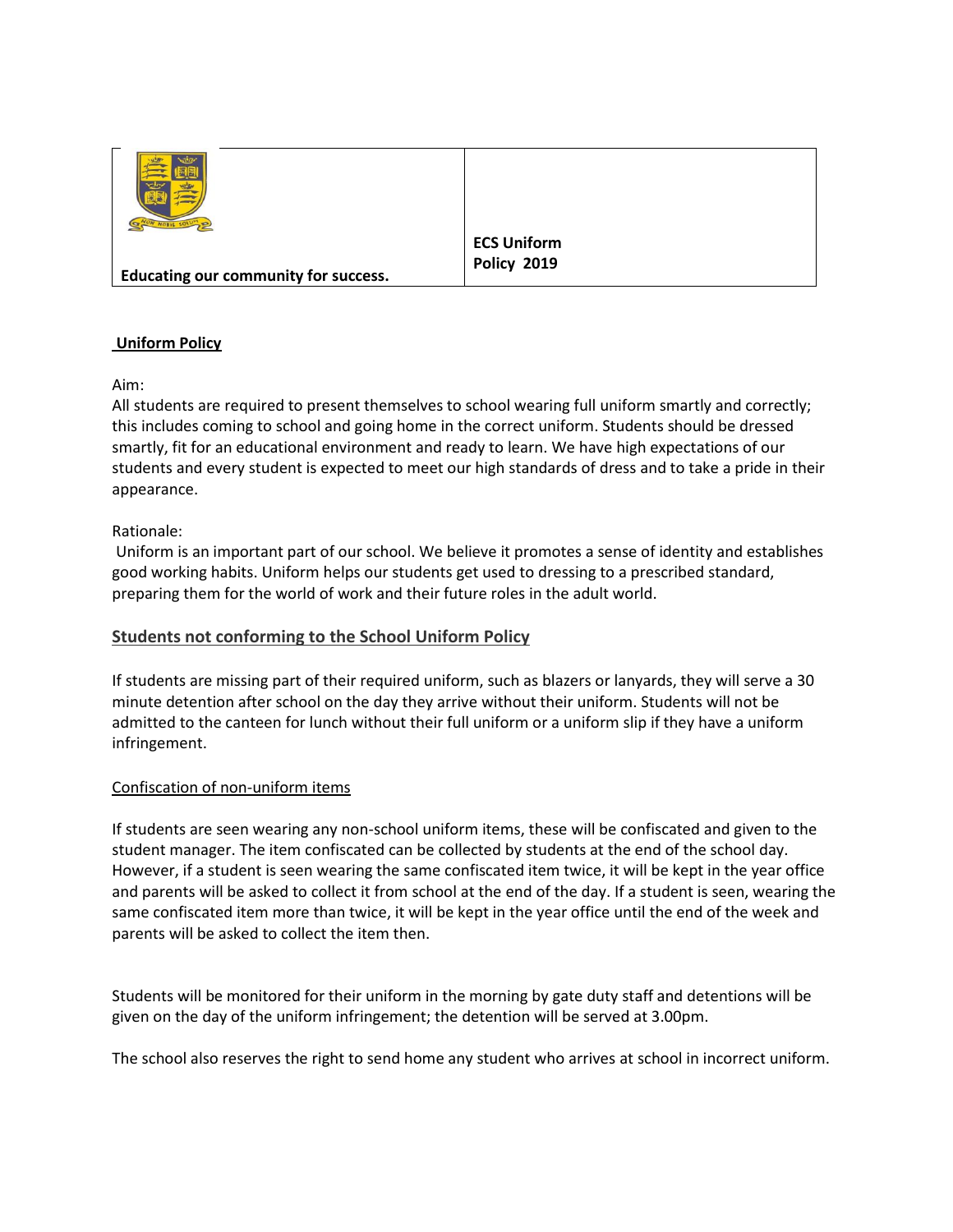|                                             | <b>ECS Uniform</b> |
|---------------------------------------------|--------------------|
| <b>Educating our community for success.</b> | <b>Policy 2019</b> |
|                                             |                    |

# **Uniform Policy**

Aim:

All students are required to present themselves to school wearing full uniform smartly and correctly; this includes coming to school and going home in the correct uniform. Students should be dressed smartly, fit for an educational environment and ready to learn. We have high expectations of our students and every student is expected to meet our high standards of dress and to take a pride in their appearance.

### Rationale:

Uniform is an important part of our school. We believe it promotes a sense of identity and establishes good working habits. Uniform helps our students get used to dressing to a prescribed standard, preparing them for the world of work and their future roles in the adult world.

# **Students not conforming to the School Uniform Policy**

If students are missing part of their required uniform, such as blazers or lanyards, they will serve a 30 minute detention after school on the day they arrive without their uniform. Students will not be admitted to the canteen for lunch without their full uniform or a uniform slip if they have a uniform infringement.

#### Confiscation of non-uniform items

If students are seen wearing any non-school uniform items, these will be confiscated and given to the student manager. The item confiscated can be collected by students at the end of the school day. However, if a student is seen wearing the same confiscated item twice, it will be kept in the year office and parents will be asked to collect it from school at the end of the day. If a student is seen, wearing the same confiscated item more than twice, it will be kept in the year office until the end of the week and parents will be asked to collect the item then.

Students will be monitored for their uniform in the morning by gate duty staff and detentions will be given on the day of the uniform infringement; the detention will be served at 3.00pm.

The school also reserves the right to send home any student who arrives at school in incorrect uniform.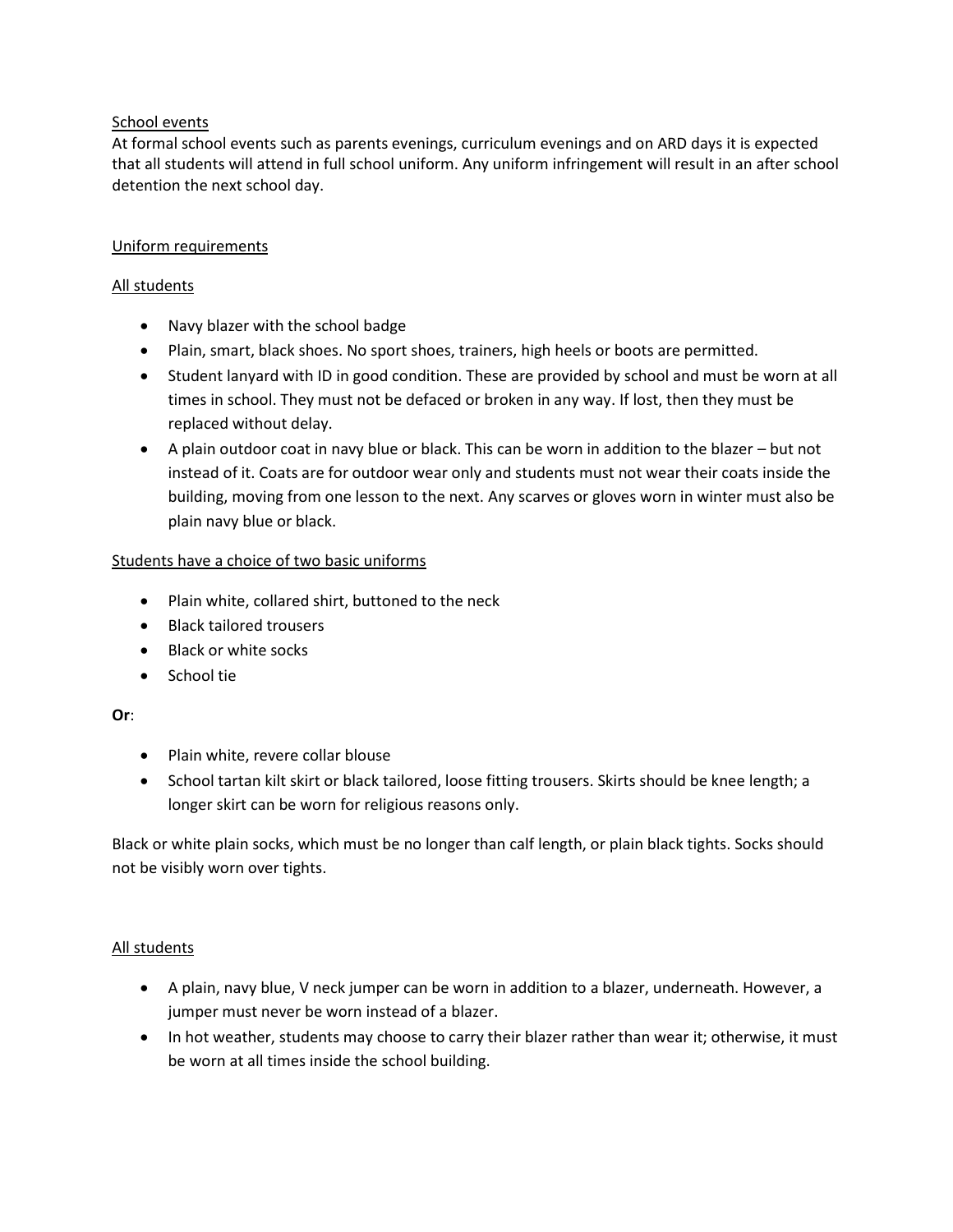#### School events

At formal school events such as parents evenings, curriculum evenings and on ARD days it is expected that all students will attend in full school uniform. Any uniform infringement will result in an after school detention the next school day.

### Uniform requirements

### All students

- Navy blazer with the school badge
- Plain, smart, black shoes. No sport shoes, trainers, high heels or boots are permitted.
- Student lanyard with ID in good condition. These are provided by school and must be worn at all times in school. They must not be defaced or broken in any way. If lost, then they must be replaced without delay.
- A plain outdoor coat in navy blue or black. This can be worn in addition to the blazer but not instead of it. Coats are for outdoor wear only and students must not wear their coats inside the building, moving from one lesson to the next. Any scarves or gloves worn in winter must also be plain navy blue or black.

# Students have a choice of two basic uniforms

- Plain white, collared shirt, buttoned to the neck
- Black tailored trousers
- Black or white socks
- School tie

# **Or**:

- Plain white, revere collar blouse
- School tartan kilt skirt or black tailored, loose fitting trousers. Skirts should be knee length; a longer skirt can be worn for religious reasons only.

Black or white plain socks, which must be no longer than calf length, or plain black tights. Socks should not be visibly worn over tights.

# All students

- A plain, navy blue, V neck jumper can be worn in addition to a blazer, underneath. However, a jumper must never be worn instead of a blazer.
- In hot weather, students may choose to carry their blazer rather than wear it; otherwise, it must be worn at all times inside the school building.